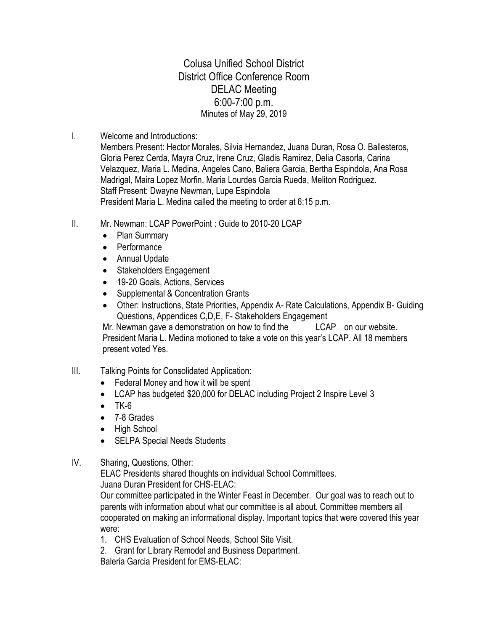Colusa Unified School District District Office Conference Room DELAC Meeting 6:00-7:00 p.m. Minutes of May 29, 2019

I. Welcome and Introductions:

Members Present: Hector Morales, Silvia Hernandez, Juana Duran, Rosa O. Ballesteros, Gloria Perez Cerda, Mayra Cruz, Irene Cruz, Gladis Ramirez, Delia Casorla, Carina Velazquez, Maria L. Medina, Angeles Cano, Baliera Garcia, Bertha Espindola, Ana Rosa Madrigal, Maira Lopez Morfin, Maria Lourdes Garcia Rueda, Meliton Rodriguez. Staff Present: Dwayne Newman, Lupe Espindola President Maria L. Medina called the meeting to order at 6:15 p.m.

- II. Mr. Newman: LCAP PowerPoint : Guide to 2010-20 LCAP
	- Plan Summary
	- Performance
	- Annual Update
	- Stakeholders Engagement
	- 19-20 Goals, Actions, Services
	- Supplemental & Concentration Grants
	- Other: Instructions, State Priorities, Appendix A- Rate Calculations, Appendix B- Guiding Questions, Appendices C,D,E, F- Stakeholders Engagement

Mr. Newman gave a demonstration on how to find the LCAP on our website. President Maria L. Medina motioned to take a vote on this year's LCAP. All 18 members present voted Yes.

- III. Talking Points for Consolidated Application:
	- Federal Money and how it will be spent
	- LCAP has budgeted \$20,000 for DELAC including Project 2 Inspire Level 3
	- $\bullet$  TK-6
	- 7-8 Grades
	- High School
	- SELPA Special Needs Students
- IV. Sharing, Questions, Other:

ELAC Presidents shared thoughts on individual School Committees.

Juana Duran President for CHS-ELAC:

Our committee participated in the Winter Feast in December. Our goal was to reach out to parents with information about what our committee is all about. Committee members all cooperated on making an informational display. Important topics that were covered this year were:

- 1. CHS Evaluation of School Needs, School Site Visit.
- 2. Grant for Library Remodel and Business Department.

Baleria Garcia President for EMS-ELAC: